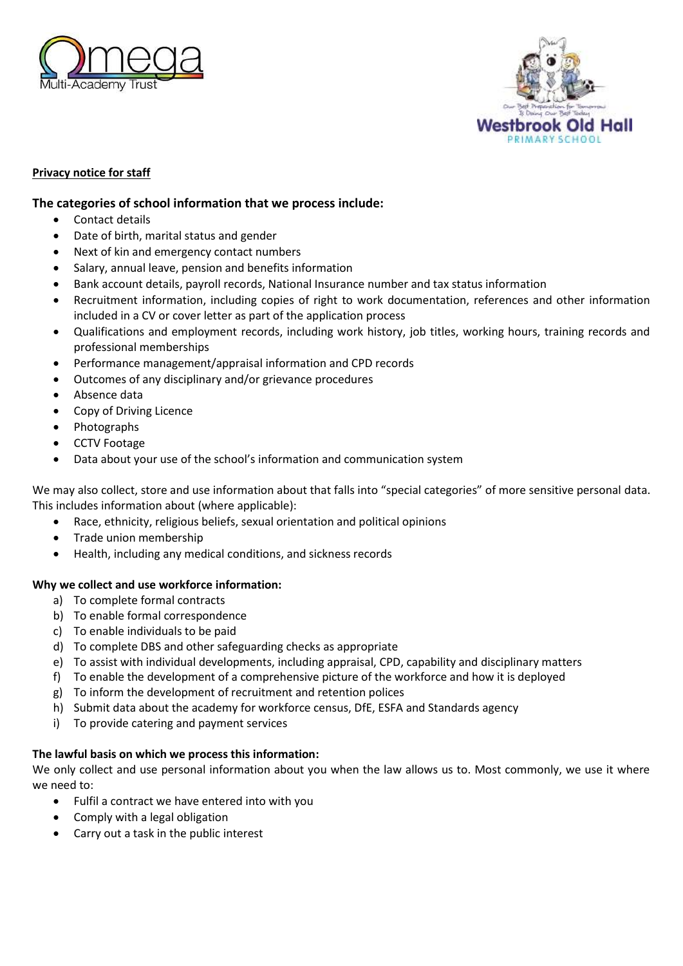



## **Privacy notice for staff**

## **The categories of school information that we process include:**

- Contact details
- Date of birth, marital status and gender
- Next of kin and emergency contact numbers
- Salary, annual leave, pension and benefits information
- Bank account details, payroll records, National Insurance number and tax status information
- Recruitment information, including copies of right to work documentation, references and other information included in a CV or cover letter as part of the application process
- Qualifications and employment records, including work history, job titles, working hours, training records and professional memberships
- Performance management/appraisal information and CPD records
- Outcomes of any disciplinary and/or grievance procedures
- Absence data
- Copy of Driving Licence
- Photographs
- CCTV Footage
- Data about your use of the school's information and communication system

We may also collect, store and use information about that falls into "special categories" of more sensitive personal data. This includes information about (where applicable):

- Race, ethnicity, religious beliefs, sexual orientation and political opinions
- Trade union membership
- Health, including any medical conditions, and sickness records

### **Why we collect and use workforce information:**

- a) To complete formal contracts
- b) To enable formal correspondence
- c) To enable individuals to be paid
- d) To complete DBS and other safeguarding checks as appropriate
- e) To assist with individual developments, including appraisal, CPD, capability and disciplinary matters
- f) To enable the development of a comprehensive picture of the workforce and how it is deployed
- g) To inform the development of recruitment and retention polices
- h) Submit data about the academy for workforce census, DfE, ESFA and Standards agency
- i) To provide catering and payment services

### **The lawful basis on which we process this information:**

We only collect and use personal information about you when the law allows us to. Most commonly, we use it where we need to:

- Fulfil a contract we have entered into with you
- Comply with a legal obligation
- Carry out a task in the public interest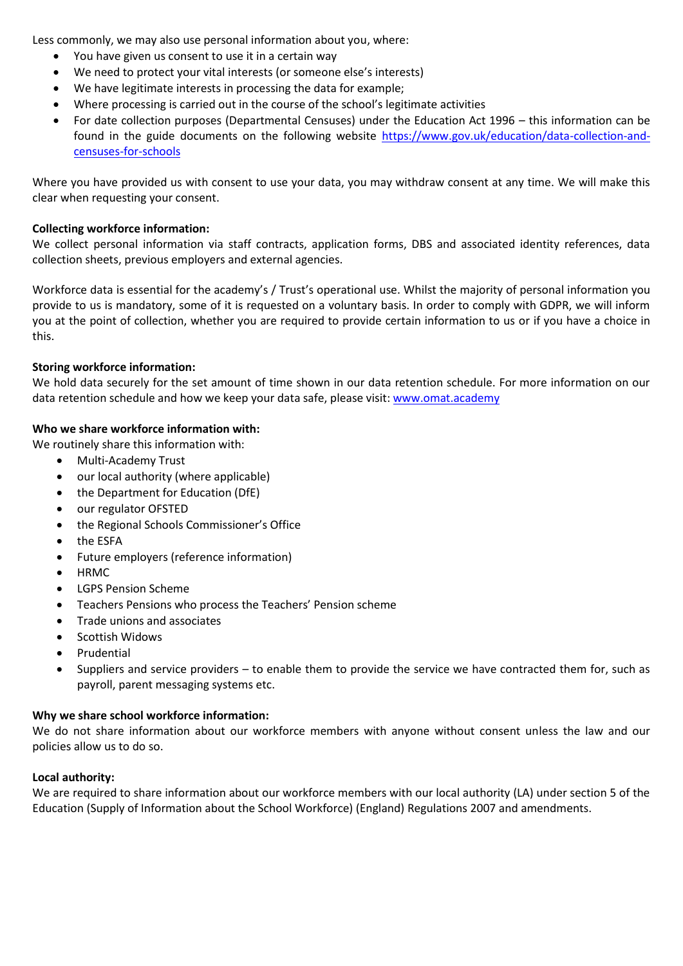Less commonly, we may also use personal information about you, where:

- You have given us consent to use it in a certain way
- We need to protect your vital interests (or someone else's interests)
- We have legitimate interests in processing the data for example;
- Where processing is carried out in the course of the school's legitimate activities
- For date collection purposes (Departmental Censuses) under the Education Act 1996 this information can be found in the guide documents on the following website [https://www.gov.uk/education/data-collection-and](https://www.gov.uk/education/data-collection-and-censuses-for-schools)[censuses-for-schools](https://www.gov.uk/education/data-collection-and-censuses-for-schools)

Where you have provided us with consent to use your data, you may withdraw consent at any time. We will make this clear when requesting your consent.

## **Collecting workforce information:**

We collect personal information via staff contracts, application forms, DBS and associated identity references, data collection sheets, previous employers and external agencies.

Workforce data is essential for the academy's / Trust's operational use. Whilst the majority of personal information you provide to us is mandatory, some of it is requested on a voluntary basis. In order to comply with GDPR, we will inform you at the point of collection, whether you are required to provide certain information to us or if you have a choice in this.

## **Storing workforce information:**

We hold data securely for the set amount of time shown in our data retention schedule. For more information on our data retention schedule and how we keep your data safe, please visit[: www.omat.academy](http://www.omat.academy/)

# **Who we share workforce information with:**

We routinely share this information with:

- Multi-Academy Trust
- our local authority (where applicable)
- the Department for Education (DfE)
- our regulator OFSTED
- the Regional Schools Commissioner's Office
- the ESFA
- Future employers (reference information)
- HRMC
- LGPS Pension Scheme
- Teachers Pensions who process the Teachers' Pension scheme
- Trade unions and associates
- Scottish Widows
- Prudential
- Suppliers and service providers to enable them to provide the service we have contracted them for, such as payroll, parent messaging systems etc.

# **Why we share school workforce information:**

We do not share information about our workforce members with anyone without consent unless the law and our policies allow us to do so.

# **Local authority:**

We are required to share information about our workforce members with our local authority (LA) under section 5 of the Education (Supply of Information about the School Workforce) (England) Regulations 2007 and amendments.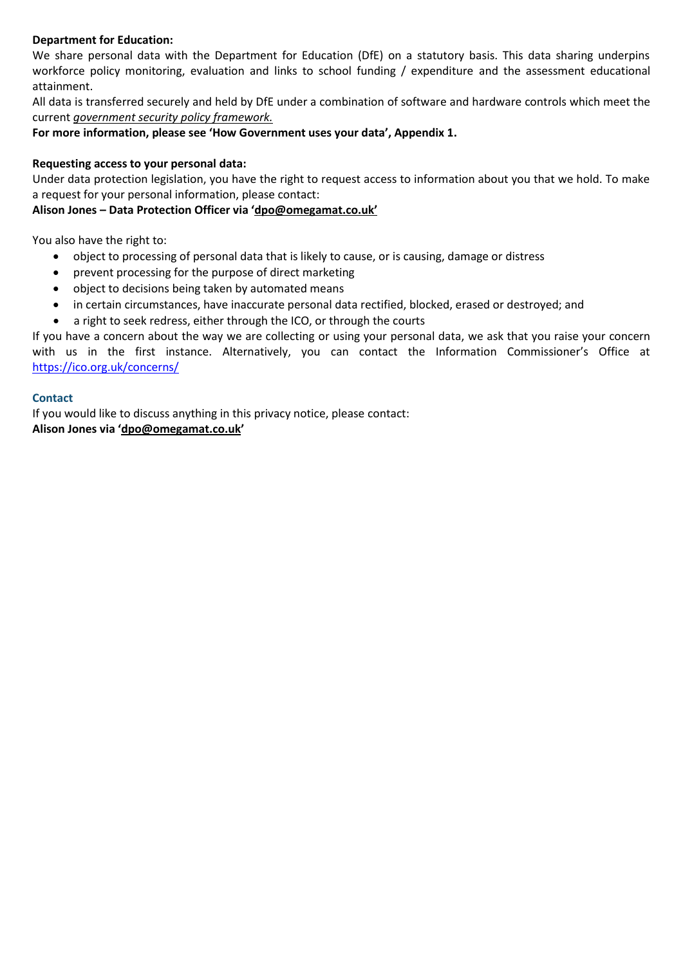## **Department for Education:**

We share personal data with the Department for Education (DfE) on a statutory basis. This data sharing underpins workforce policy monitoring, evaluation and links to school funding / expenditure and the assessment educational attainment.

All data is transferred securely and held by DfE under a combination of software and hardware controls which meet the current *government security policy framework.*

**For more information, please see 'How Government uses your data', Appendix 1.**

### **Requesting access to your personal data:**

Under data protection legislation, you have the right to request access to information about you that we hold. To make a request for your personal information, please contact:

### **Alison Jones – Data Protection Officer via 'dpo@omegamat.co.uk'**

You also have the right to:

- object to processing of personal data that is likely to cause, or is causing, damage or distress
- prevent processing for the purpose of direct marketing
- object to decisions being taken by automated means
- in certain circumstances, have inaccurate personal data rectified, blocked, erased or destroyed; and
- a right to seek redress, either through the ICO, or through the courts

If you have a concern about the way we are collecting or using your personal data, we ask that you raise your concern with us in the first instance. Alternatively, you can contact the Information Commissioner's Office at <https://ico.org.uk/concerns/>

### **Contact**

If you would like to discuss anything in this privacy notice, please contact: **Alison Jones via 'dpo@omegamat.co.uk'**